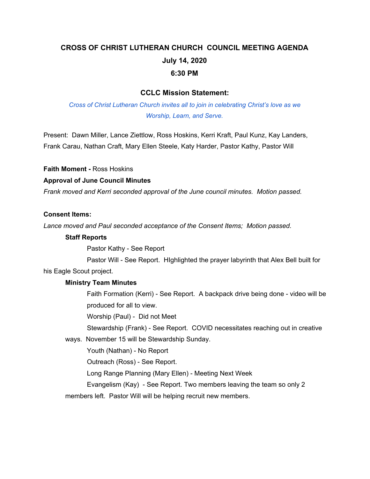# **CROSS OF CHRIST LUTHERAN CHURCH COUNCIL MEETING AGENDA July 14, 2020 6:30 PM**

#### **CCLC Mission Statement:**

*Cross of Christ Lutheran Church invites all to join in celebrating Christ's love as we Worship, Learn, and Serve.*

Present: Dawn Miller, Lance Ziettlow, Ross Hoskins, Kerri Kraft, Paul Kunz, Kay Landers, Frank Carau, Nathan Craft, Mary Ellen Steele, Katy Harder, Pastor Kathy, Pastor Will

**Faith Moment -** Ross Hoskins

#### **Approval of June Council Minutes**

*Frank moved and Kerri seconded approval of the June council minutes. Motion passed.*

#### **Consent Items:**

*Lance moved and Paul seconded acceptance of the Consent Items; Motion passed.*

#### **Staff Reports**

Pastor Kathy - See Report

Pastor Will - See Report. HIghlighted the prayer labyrinth that Alex Bell built for

his Eagle Scout project.

#### **Ministry Team Minutes**

Faith Formation (Kerri) - See Report. A backpack drive being done - video will be produced for all to view.

Worship (Paul) - Did not Meet

Stewardship (Frank) - See Report. COVID necessitates reaching out in creative

ways. November 15 will be Stewardship Sunday.

Youth (Nathan) - No Report

Outreach (Ross) - See Report.

Long Range Planning (Mary Ellen) - Meeting Next Week

Evangelism (Kay) - See Report. Two members leaving the team so only 2

members left. Pastor Will will be helping recruit new members.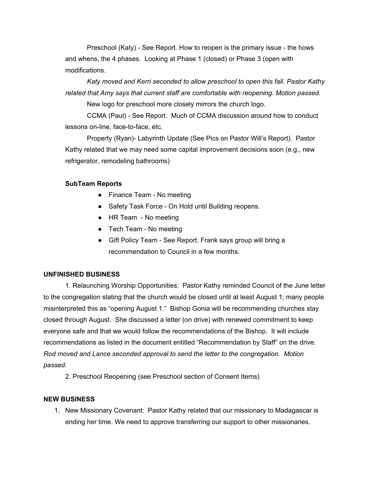Preschool (Katy) - See Report. How to reopen is the primary issue - the hows and whens, the 4 phases. Looking at Phase 1 (closed) or Phase 3 (open with modifications.

*Katy moved and Kerri seconded to allow preschool to open this fall. Pastor Kathy related that Amy says that current staff are comfortable with reopening. Motion passed.*

New logo for preschool more closely mirrors the church logo.

CCMA (Paul) - See Report. Much of CCMA discussion around how to conduct lessons on-line, face-to-face, etc.

Property (Ryan)- Labyrinth Update (See Pics on Pastor Will's Report). Pastor Kathy related that we may need some capital improvement decisions soon (e.g., new refrigerator, remodeling bathrooms)

#### **SubTeam Reports**

- Finance Team No meeting
- Safety Task Force On Hold until Building reopens.
- HR Team No meeting
- Tech Team No meeting
- Gift Policy Team See Report. Frank says group will bring a recommendation to Council in a few months.

#### **UNFINISHED BUSINESS**

1. Relaunching Worship Opportunities: Pastor Kathy reminded Council of the June letter to the congregation stating that the church would be closed until at least August 1; many people misinterpreted this as "opening August 1." Bishop Gonia will be recommending churches stay closed through August. She discussed a letter (on drive) with renewed commitment to keep everyone safe and that we would follow the recommendations of the Bishop. It will include recommendations as listed in the document entitled "Recommendation by Staff" on the drive. *Rod moved and Lance seconded approval to send the letter to the congregation. Motion passed.*

2. Preschool Reopening (see Preschool section of Consent Items)

## **NEW BUSINESS**

1. New Missionary Covenant: Pastor Kathy related that our missionary to Madagascar is ending her time. We need to approve transferring our support to other missionaries.